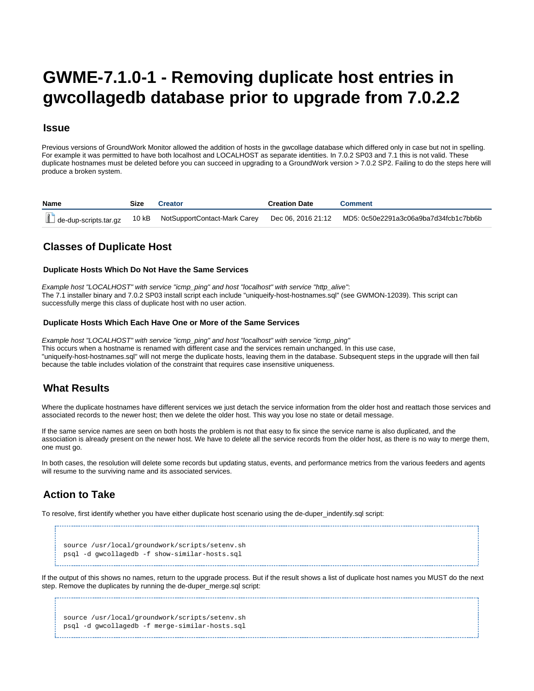# <span id="page-0-0"></span>**GWME-7.1.0-1 - Removing duplicate host entries in gwcollagedb database prior to upgrade from 7.0.2.2**

### **Issue**

Previous versions of GroundWork Monitor allowed the addition of hosts in the gwcollage database which differed only in case but not in spelling. For example it was permitted to have both localhost and LOCALHOST as separate identities. In 7.0.2 SP03 and 7.1 this is not valid. These duplicate hostnames must be deleted before you can succeed in upgrading to a GroundWork version > 7.0.2 SP2. Failing to do the steps here will produce a broken system.

| <b>Name</b> | Size | Creator                                                                     | <b>Creation Date</b> | Comment                               |
|-------------|------|-----------------------------------------------------------------------------|----------------------|---------------------------------------|
|             |      | de-dup-scripts.tar.gz 10 kB NotSupportContact-Mark Carey Dec 06, 2016 21:12 |                      | MD5: 0c50e2291a3c06a9ba7d34fcb1c7bb6b |

# **Classes of Duplicate Host**

#### **Duplicate Hosts Which Do Not Have the Same Services**

Example host "LOCALHOST" with service "icmp\_ping" and host "localhost" with service "http\_alive": The 7.1 installer binary and 7.0.2 SP03 install script each include "uniqueify-host-hostnames.sql" (see GWMON-12039). This script can successfully merge this class of duplicate host with no user action.

#### **Duplicate Hosts Which Each Have One or More of the Same Services**

Example host "LOCALHOST" with service "icmp\_ping" and host "localhost" with service "icmp\_ping" This occurs when a hostname is renamed with different case and the services remain unchanged. In this use case, "uniqueify-host-hostnames.sql" will not merge the duplicate hosts, leaving them in the database. Subsequent steps in the upgrade will then fail because the table includes violation of the constraint that requires case insensitive uniqueness.

## **What Results**

Where the duplicate hostnames have different services we just detach the service information from the older host and reattach those services and associated records to the newer host; then we delete the older host. This way you lose no state or detail message.

If the same service names are seen on both hosts the problem is not that easy to fix since the service name is also duplicated, and the association is already present on the newer host. We have to delete all the service records from the older host, as there is no way to merge them, one must go.

In both cases, the resolution will delete some records but updating status, events, and performance metrics from the various feeders and agents will resume to the surviving name and its associated services.

# **Action to Take**

To resolve, first identify whether you have either duplicate host scenario using the de-duper\_indentify.sql script:

source /usr/local/groundwork/scripts/setenv.sh psql -d gwcollagedb -f show-similar-hosts.sql

If the output of this shows no names, return to the upgrade process. But if the result shows a list of duplicate host names you MUST do the next step. Remove the duplicates by running the de-duper\_merge.sql script:

source /usr/local/groundwork/scripts/setenv.sh psql -d gwcollagedb -f merge-similar-hosts.sql